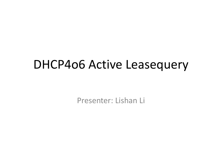#### DHCP4o6 Active Leasequery

Presenter: Lishan Li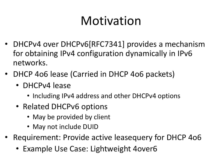### Motivation

- DHCPv4 over DHCPv6[RFC7341] provides a mechanism for obtaining IPv4 configuration dynamically in IPv6 networks.
- DHCP 4o6 lease (Carried in DHCP 4o6 packets)
	- DHCPv4 lease
		- Including IPv4 address and other DHCPv4 options
	- Related DHCPv6 options
		- May be provided by client
		- May not include DUID
- Requirement: Provide active leasequery for DHCP 406
	- Example Use Case: Lightweight 4 over 6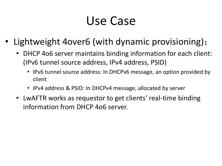### Use Case

- Lightweight 4over6 (with dynamic provisioning):
	- DHCP 4o6 server maintains binding information for each client: (IPv6 tunnel source address, IPv4 address, PSID)
		- IPv6 tunnel source address: In DHCPv6 message, an option provided by client
		- IPv4 address & PSID: In DHCPv4 message, allocated by server
	- LwAFTR works as requestor to get clients' real-time binding information from DHCP 4o6 server.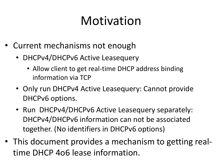### Motivation

- Current mechanisms not enough
	- DHCPv4/DHCPv6 Active Leasequery
		- Allow client to get real-time DHCP address binding information via TCP
	- Only run DHCPv4 Active Leasequery: Cannot provide DHCPv6 options.
	- Run DHCPv4/DHCPv6 Active Leasequery separately: DHCPv4/DHCPv6 information can not be associated together. (No identifiers in DHCPv6 options)
- This document provides a mechanism to getting realtime DHCP 4o6 lease information.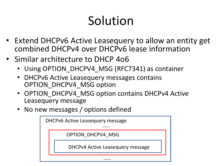# Solution

- Extend DHCPv6 Active Leasequery to allow an entity get combined DHCPv4 over DHCPv6 lease information
- Similar architecture to DHCP 4o6
	- Using OPTION DHCPV4 MSG (RFC7341) as container
	- DHCPv6 Active Leasequery messages contains OPTION\_DHCPV4\_MSG option
	- OPTION DHCPV4 MSG option contains DHCPv4 Active Leasequery message
	- No new messages / options defined

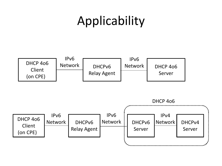## Applicability